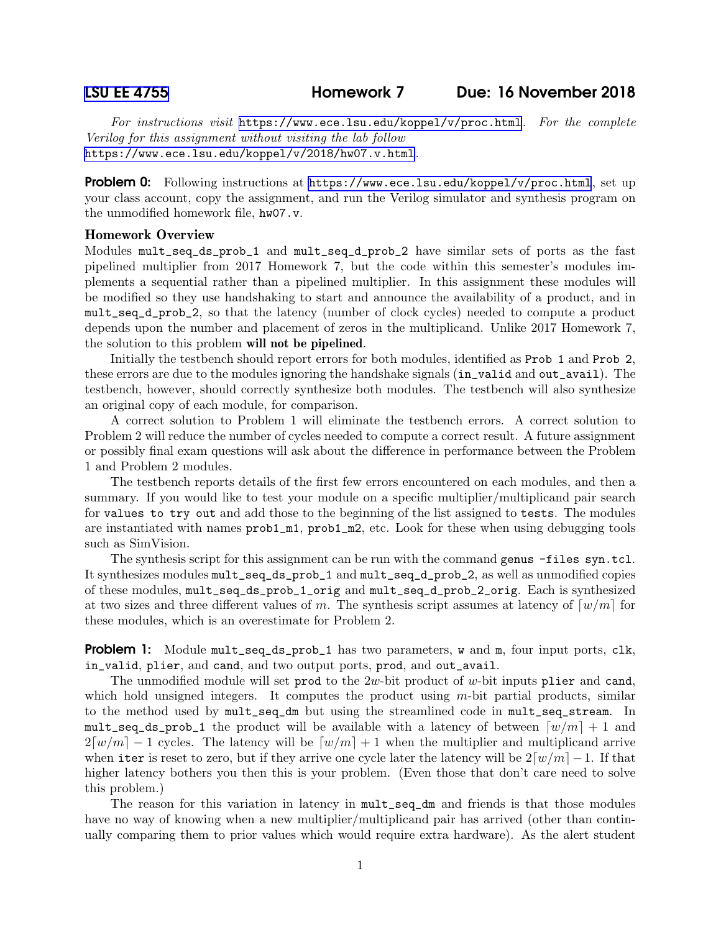For instructions visit <https://www.ece.lsu.edu/koppel/v/proc.html>. For the complete Verilog for this assignment without visiting the lab follow <https://www.ece.lsu.edu/koppel/v/2018/hw07.v.html>.

**Problem 0:** Following instructions at  $https://www.ece.lsu.edu/koppel/y/proc.html, set up$ your class account, copy the assignment, and run the Verilog simulator and synthesis program on the unmodified homework file, hw07.v.

## Homework Overview

Modules mult\_seq\_ds\_prob\_1 and mult\_seq\_d\_prob\_2 have similar sets of ports as the fast pipelined multiplier from 2017 Homework 7, but the code within this semester's modules implements a sequential rather than a pipelined multiplier. In this assignment these modules will be modified so they use handshaking to start and announce the availability of a product, and in mult\_seq\_d\_prob\_2, so that the latency (number of clock cycles) needed to compute a product depends upon the number and placement of zeros in the multiplicand. Unlike 2017 Homework 7, the solution to this problem will not be pipelined.

Initially the testbench should report errors for both modules, identified as Prob 1 and Prob 2, these errors are due to the modules ignoring the handshake signals (in\_valid and out\_avail). The testbench, however, should correctly synthesize both modules. The testbench will also synthesize an original copy of each module, for comparison.

A correct solution to Problem 1 will eliminate the testbench errors. A correct solution to Problem 2 will reduce the number of cycles needed to compute a correct result. A future assignment or possibly final exam questions will ask about the difference in performance between the Problem 1 and Problem 2 modules.

The testbench reports details of the first few errors encountered on each modules, and then a summary. If you would like to test your module on a specific multiplier/multiplicand pair search for values to try out and add those to the beginning of the list assigned to tests. The modules are instantiated with names  $prob1_m1$ ,  $prob1_m2$ , etc. Look for these when using debugging tools such as SimVision.

The synthesis script for this assignment can be run with the command genus -files syn.tcl. It synthesizes modules mult\_seq\_ds\_prob\_1 and mult\_seq\_d\_prob\_2, as well as unmodified copies of these modules, mult\_seq\_ds\_prob\_1\_orig and mult\_seq\_d\_prob\_2\_orig. Each is synthesized at two sizes and three different values of m. The synthesis script assumes at latency of  $\lceil w/m \rceil$  for these modules, which is an overestimate for Problem 2.

**Problem 1:** Module mult\_seq\_ds\_prob\_1 has two parameters, w and m, four input ports, clk, in\_valid, plier, and cand, and two output ports, prod, and out\_avail.

The unmodified module will set prod to the  $2w$ -bit product of w-bit inputs plier and cand, which hold unsigned integers. It computes the product using  $m$ -bit partial products, similar to the method used by mult\_seq\_dm but using the streamlined code in mult\_seq\_stream. In mult\_seq\_ds\_prob\_1 the product will be available with a latency of between  $\lceil w/m \rceil + 1$  and  $2\lceil w/m \rceil - 1$  cycles. The latency will be  $\lceil w/m \rceil + 1$  when the multiplier and multiplicand arrive when iter is reset to zero, but if they arrive one cycle later the latency will be  $2\lceil w/m \rceil - 1$ . If that higher latency bothers you then this is your problem. (Even those that don't care need to solve this problem.)

The reason for this variation in latency in mult\_seq\_dm and friends is that those modules have no way of knowing when a new multiplier/multiplicand pair has arrived (other than continually comparing them to prior values which would require extra hardware). As the alert student